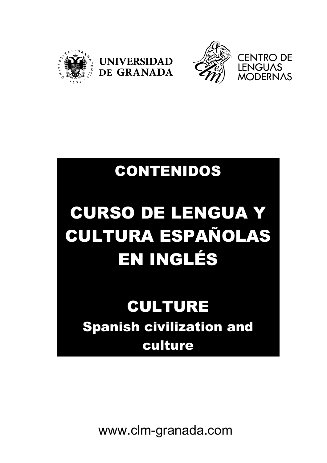





## CONTENIDOS

# CURSO DE LENGUA Y CULTURA ESPAÑOLAS EN INGLÉS

### CULTURE Spanish civilization and culture

www.clm-granada.com